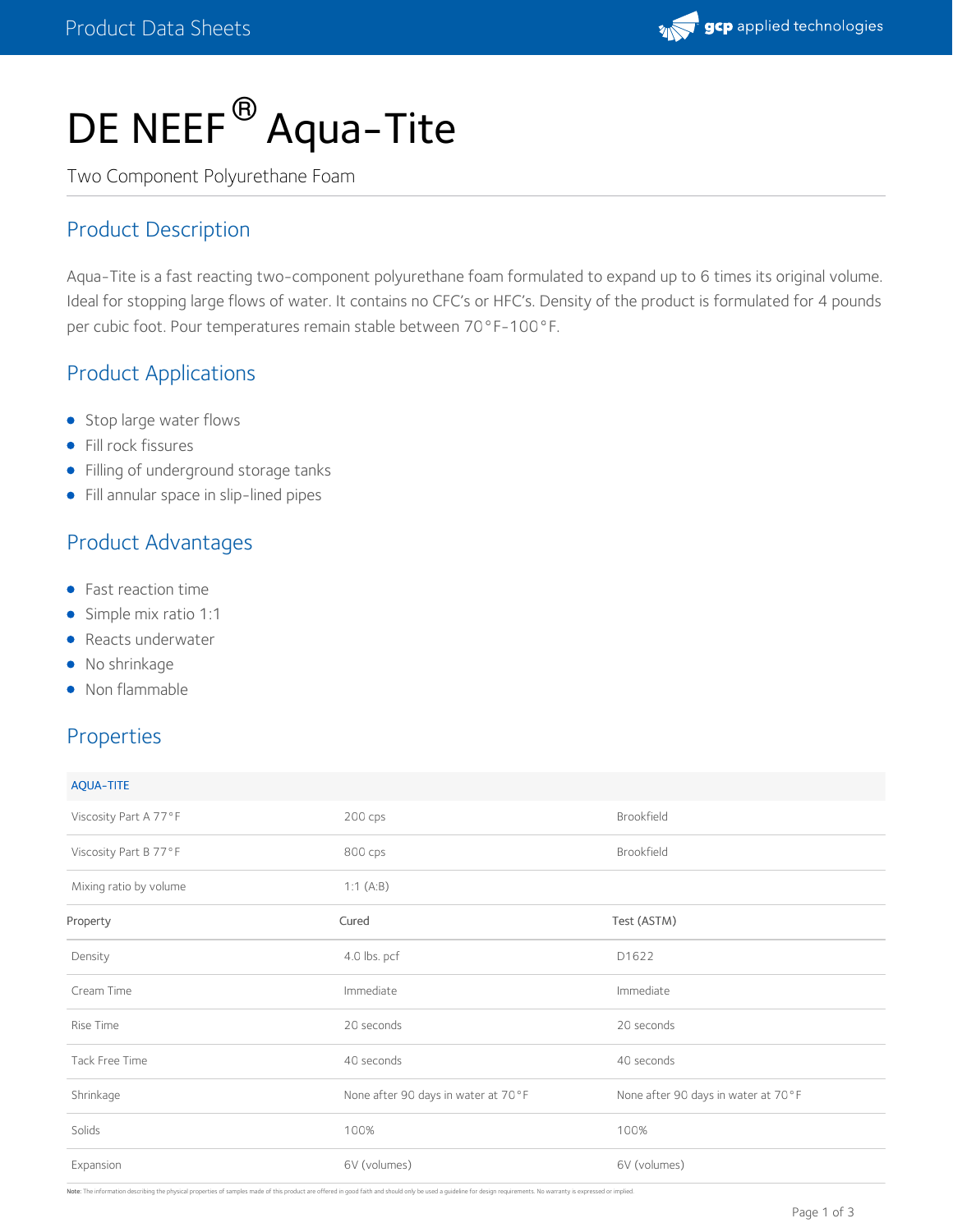

# DE NEEF<sup>®</sup> Aqua-Tite

Two Component Polyurethane Foam

## Product Description

Aqua-Tite is a fast reacting two-component polyurethane foam formulated to expand up to 6 times its original volume. Ideal for stopping large flows of water. It contains no CFC's or HFC's. Density of the product is formulated for 4 pounds per cubic foot. Pour temperatures remain stable between 70°F-100°F.

## Product Applications

- Stop large water flows
- **•** Fill rock fissures
- Filling of underground storage tanks
- Fill annular space in slip-lined pipes

### Product Advantages

- **•** Fast reaction time
- Simple mix ratio 1:1
- Reacts underwater
- No shrinkage
- Non flammable

### Properties

| <b>AQUA-TITE</b>       |                                     |                                     |
|------------------------|-------------------------------------|-------------------------------------|
| Viscosity Part A 77°F  | $200$ cps                           | Brookfield                          |
| Viscosity Part B 77°F  | 800 cps                             | Brookfield                          |
| Mixing ratio by volume | 1:1 $(A:B)$                         |                                     |
| Property               | Cured                               | Test (ASTM)                         |
| Density                | 4.0 lbs. pcf                        | D1622                               |
| Cream Time             | Immediate                           | Immediate                           |
| Rise Time              | 20 seconds                          | 20 seconds                          |
| Tack Free Time         | 40 seconds                          | 40 seconds                          |
| Shrinkage              | None after 90 days in water at 70°F | None after 90 days in water at 70°F |
| Solids                 | 100%                                | 100%                                |
| Expansion              | 6V (volumes)                        | 6V (volumes)                        |

Note: The information describing the physical properties of samples made of this product are offered in good faith and should only be used a guideline for design requirements. No warranty is expressed or implied.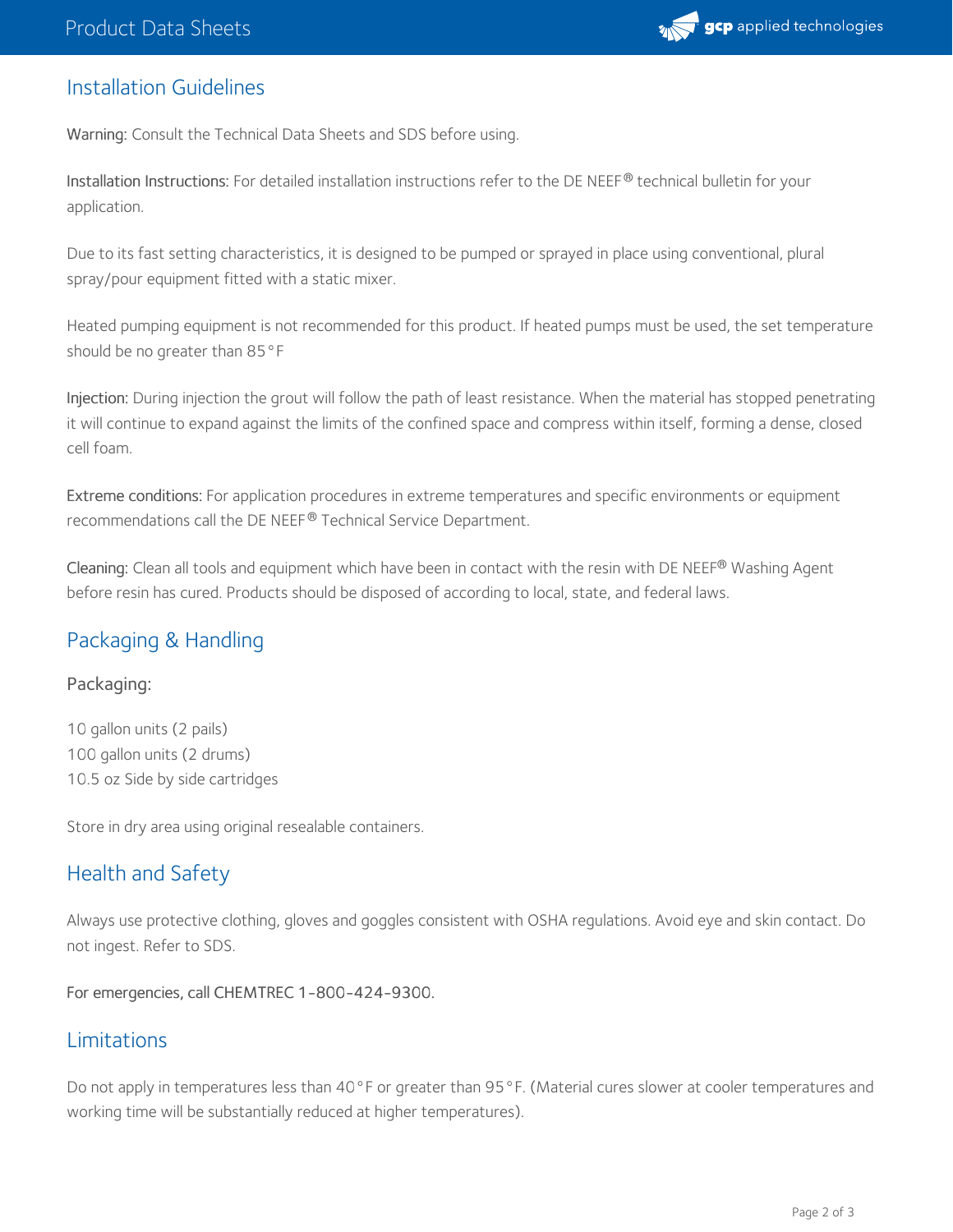

#### Installation Guidelines

Warning: Consult the Technical Data Sheets and SDS before using.

Installation Instructions: For detailed installation instructions refer to the DE NEEF $^\circledR$  technical bulletin for your application.

Due to its fast setting characteristics, it is designed to be pumped or sprayed in place using conventional, plural spray/pour equipment fitted with a static mixer.

Heated pumping equipment is not recommended for this product. If heated pumps must be used, the set temperature should be no greater than 85°F

Injection: During injection the grout will follow the path of least resistance. When the material has stopped penetrating it will continue to expand against the limits of the confined space and compress within itself, forming a dense, closed cell foam.

Extreme conditions: For application procedures in extreme temperatures and specific environments or equipment recommendations call the DE NEEF® Technical Service Department.

**Cleaning:** Clean all tools and equipment which have been in contact with the resin with DE NEEF® Washing Agent before resin has cured. Products should be disposed of according to local, state, and federal laws.

### Packaging & Handling

#### Packaging:

10 gallon units (2 pails) 100 gallon units (2 drums) 10.5 oz Side by side cartridges

Store in dry area using original resealable containers.

### Health and Safety

Always use protective clothing, gloves and goggles consistent with OSHA regulations. Avoid eye and skin contact. Do not ingest. Refer to SDS.

For emergencies, call CHEMTREC 1-800-424-9300.

#### Limitations

Do not apply in temperatures less than 40°F or greater than 95°F. (Material cures slower at cooler temperatures and working time will be substantially reduced at higher temperatures).